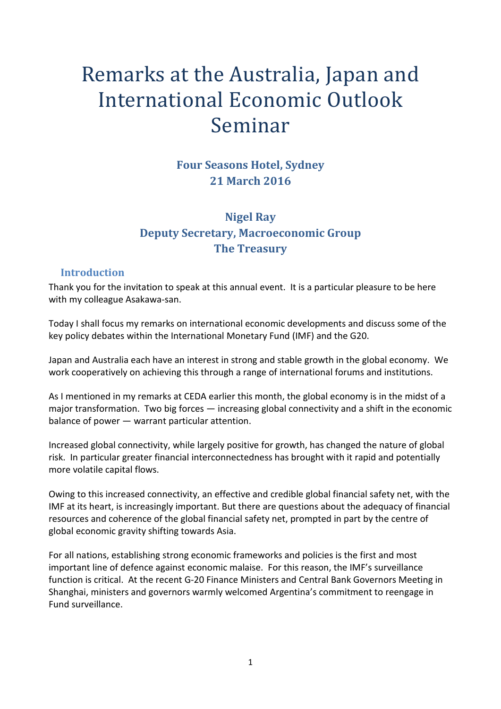# Remarks at the Australia, Japan and International Economic Outlook Seminar

**Four Seasons Hotel, Sydney 21 March 2016**

## **Nigel Ray Deputy Secretary, Macroeconomic Group The Treasury**

#### **Introduction**

Thank you for the invitation to speak at this annual event. It is a particular pleasure to be here with my colleague Asakawa-san.

Today I shall focus my remarks on international economic developments and discuss some of the key policy debates within the International Monetary Fund (IMF) and the G20.

Japan and Australia each have an interest in strong and stable growth in the global economy. We work cooperatively on achieving this through a range of international forums and institutions.

As I mentioned in my remarks at CEDA earlier this month, the global economy is in the midst of a major transformation. Two big forces — increasing global connectivity and a shift in the economic balance of power — warrant particular attention.

Increased global connectivity, while largely positive for growth, has changed the nature of global risk. In particular greater financial interconnectedness has brought with it rapid and potentially more volatile capital flows.

Owing to this increased connectivity, an effective and credible global financial safety net, with the IMF at its heart, is increasingly important. But there are questions about the adequacy of financial resources and coherence of the global financial safety net, prompted in part by the centre of global economic gravity shifting towards Asia.

For all nations, establishing strong economic frameworks and policies is the first and most important line of defence against economic malaise. For this reason, the IMF's surveillance function is critical. At the recent G-20 Finance Ministers and Central Bank Governors Meeting in Shanghai, ministers and governors warmly welcomed Argentina's commitment to reengage in Fund surveillance.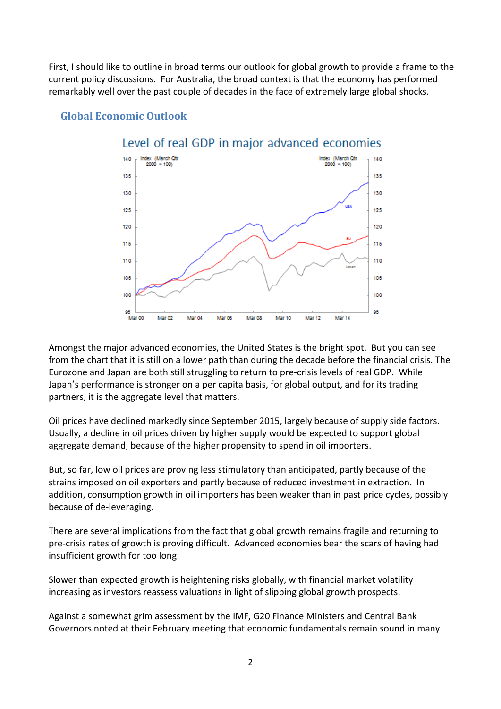First, I should like to outline in broad terms our outlook for global growth to provide a frame to the current policy discussions. For Australia, the broad context is that the economy has performed remarkably well over the past couple of decades in the face of extremely large global shocks.



#### **Global Economic Outlook**

Amongst the major advanced economies, the United States is the bright spot. But you can see from the chart that it is still on a lower path than during the decade before the financial crisis. The Eurozone and Japan are both still struggling to return to pre-crisis levels of real GDP. While Japan's performance is stronger on a per capita basis, for global output, and for its trading partners, it is the aggregate level that matters.

Oil prices have declined markedly since September 2015, largely because of supply side factors. Usually, a decline in oil prices driven by higher supply would be expected to support global aggregate demand, because of the higher propensity to spend in oil importers.

But, so far, low oil prices are proving less stimulatory than anticipated, partly because of the strains imposed on oil exporters and partly because of reduced investment in extraction. In addition, consumption growth in oil importers has been weaker than in past price cycles, possibly because of de-leveraging.

There are several implications from the fact that global growth remains fragile and returning to pre-crisis rates of growth is proving difficult. Advanced economies bear the scars of having had insufficient growth for too long.

Slower than expected growth is heightening risks globally, with financial market volatility increasing as investors reassess valuations in light of slipping global growth prospects.

Against a somewhat grim assessment by the IMF, G20 Finance Ministers and Central Bank Governors noted at their February meeting that economic fundamentals remain sound in many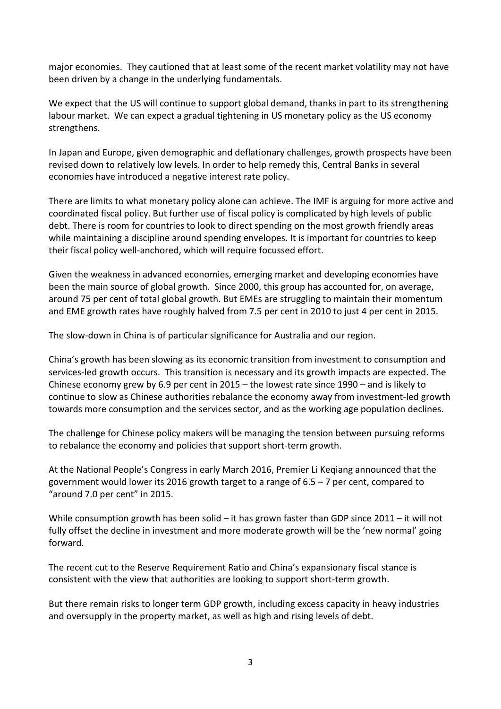major economies. They cautioned that at least some of the recent market volatility may not have been driven by a change in the underlying fundamentals.

We expect that the US will continue to support global demand, thanks in part to its strengthening labour market. We can expect a gradual tightening in US monetary policy as the US economy strengthens.

In Japan and Europe, given demographic and deflationary challenges, growth prospects have been revised down to relatively low levels. In order to help remedy this, Central Banks in several economies have introduced a negative interest rate policy.

There are limits to what monetary policy alone can achieve. The IMF is arguing for more active and coordinated fiscal policy. But further use of fiscal policy is complicated by high levels of public debt. There is room for countries to look to direct spending on the most growth friendly areas while maintaining a discipline around spending envelopes. It is important for countries to keep their fiscal policy well-anchored, which will require focussed effort.

Given the weakness in advanced economies, emerging market and developing economies have been the main source of global growth. Since 2000, this group has accounted for, on average, around 75 per cent of total global growth. But EMEs are struggling to maintain their momentum and EME growth rates have roughly halved from 7.5 per cent in 2010 to just 4 per cent in 2015.

The slow-down in China is of particular significance for Australia and our region.

China's growth has been slowing as its economic transition from investment to consumption and services-led growth occurs. This transition is necessary and its growth impacts are expected. The Chinese economy grew by 6.9 per cent in 2015 – the lowest rate since 1990 – and is likely to continue to slow as Chinese authorities rebalance the economy away from investment-led growth towards more consumption and the services sector, and as the working age population declines.

The challenge for Chinese policy makers will be managing the tension between pursuing reforms to rebalance the economy and policies that support short-term growth.

At the National People's Congress in early March 2016, Premier Li Keqiang announced that the government would lower its 2016 growth target to a range of 6.5 – 7 per cent, compared to "around 7.0 per cent" in 2015.

While consumption growth has been solid – it has grown faster than GDP since 2011 – it will not fully offset the decline in investment and more moderate growth will be the 'new normal' going forward.

The recent cut to the Reserve Requirement Ratio and China's expansionary fiscal stance is consistent with the view that authorities are looking to support short-term growth.

But there remain risks to longer term GDP growth, including excess capacity in heavy industries and oversupply in the property market, as well as high and rising levels of debt.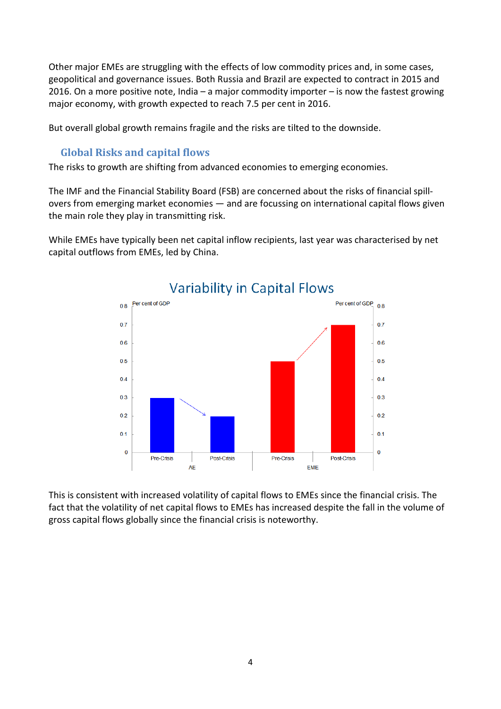Other major EMEs are struggling with the effects of low commodity prices and, in some cases, geopolitical and governance issues. Both Russia and Brazil are expected to contract in 2015 and 2016. On a more positive note, India – a major commodity importer – is now the fastest growing major economy, with growth expected to reach 7.5 per cent in 2016.

But overall global growth remains fragile and the risks are tilted to the downside.

#### **Global Risks and capital flows**

The risks to growth are shifting from advanced economies to emerging economies.

The IMF and the Financial Stability Board (FSB) are concerned about the risks of financial spillovers from emerging market economies — and are focussing on international capital flows given the main role they play in transmitting risk.

While EMEs have typically been net capital inflow recipients, last year was characterised by net capital outflows from EMEs, led by China.



This is consistent with increased volatility of capital flows to EMEs since the financial crisis. The fact that the volatility of net capital flows to EMEs has increased despite the fall in the volume of gross capital flows globally since the financial crisis is noteworthy.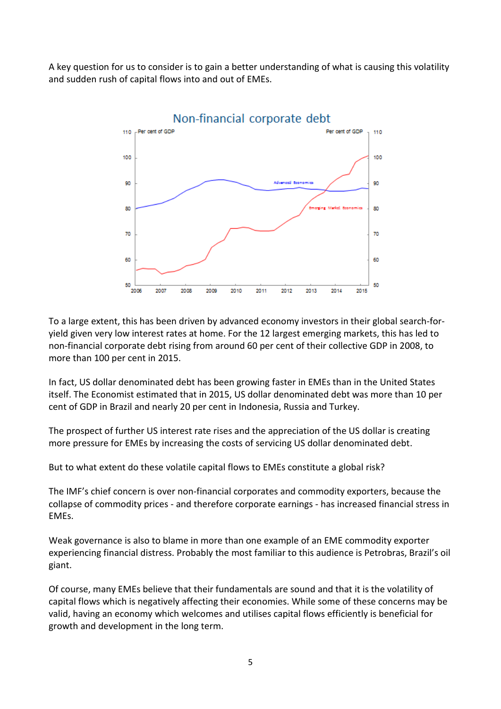A key question for us to consider is to gain a better understanding of what is causing this volatility and sudden rush of capital flows into and out of EMEs.



To a large extent, this has been driven by advanced economy investors in their global search-foryield given very low interest rates at home. For the 12 largest emerging markets, this has led to non-financial corporate debt rising from around 60 per cent of their collective GDP in 2008, to more than 100 per cent in 2015.

In fact, US dollar denominated debt has been growing faster in EMEs than in the United States itself. The Economist estimated that in 2015, US dollar denominated debt was more than 10 per cent of GDP in Brazil and nearly 20 per cent in Indonesia, Russia and Turkey.

The prospect of further US interest rate rises and the appreciation of the US dollar is creating more pressure for EMEs by increasing the costs of servicing US dollar denominated debt.

But to what extent do these volatile capital flows to EMEs constitute a global risk?

The IMF's chief concern is over non-financial corporates and commodity exporters, because the collapse of commodity prices - and therefore corporate earnings - has increased financial stress in EMEs.

Weak governance is also to blame in more than one example of an EME commodity exporter experiencing financial distress. Probably the most familiar to this audience is Petrobras, Brazil's oil giant.

Of course, many EMEs believe that their fundamentals are sound and that it is the volatility of capital flows which is negatively affecting their economies. While some of these concerns may be valid, having an economy which welcomes and utilises capital flows efficiently is beneficial for growth and development in the long term.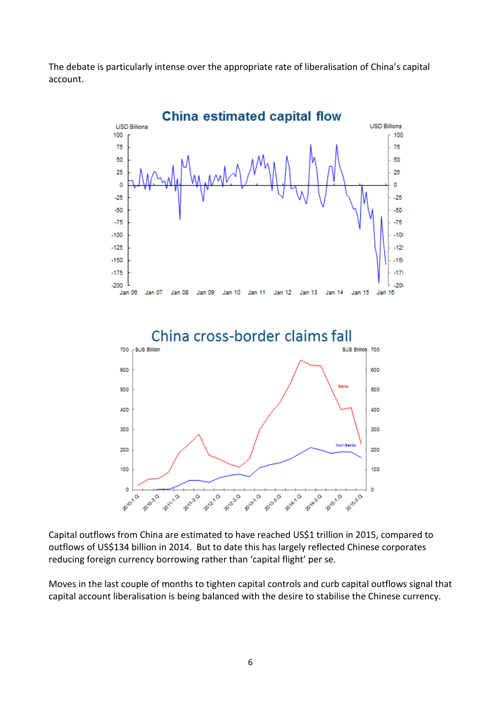The debate is particularly intense over the appropriate rate of liberalisation of China's capital account.



Capital outflows from China are estimated to have reached US\$1 trillion in 2015, compared to outflows of US\$134 billion in 2014. But to date this has largely reflected Chinese corporates reducing foreign currency borrowing rather than 'capital flight' per se.

Moves in the last couple of months to tighten capital controls and curb capital outflows signal that capital account liberalisation is being balanced with the desire to stabilise the Chinese currency.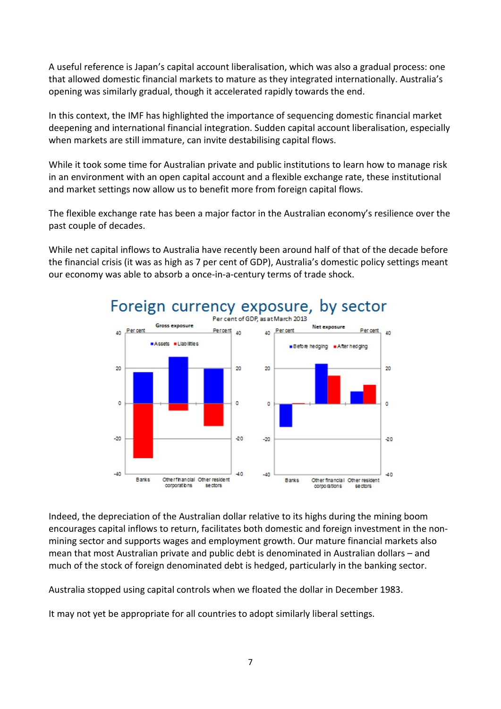A useful reference is Japan's capital account liberalisation, which was also a gradual process: one that allowed domestic financial markets to mature as they integrated internationally. Australia's opening was similarly gradual, though it accelerated rapidly towards the end.

In this context, the IMF has highlighted the importance of sequencing domestic financial market deepening and international financial integration. Sudden capital account liberalisation, especially when markets are still immature, can invite destabilising capital flows.

While it took some time for Australian private and public institutions to learn how to manage risk in an environment with an open capital account and a flexible exchange rate, these institutional and market settings now allow us to benefit more from foreign capital flows.

The flexible exchange rate has been a major factor in the Australian economy's resilience over the past couple of decades.

While net capital inflows to Australia have recently been around half of that of the decade before the financial crisis (it was as high as 7 per cent of GDP), Australia's domestic policy settings meant our economy was able to absorb a once-in-a-century terms of trade shock.



Indeed, the depreciation of the Australian dollar relative to its highs during the mining boom encourages capital inflows to return, facilitates both domestic and foreign investment in the nonmining sector and supports wages and employment growth. Our mature financial markets also mean that most Australian private and public debt is denominated in Australian dollars – and much of the stock of foreign denominated debt is hedged, particularly in the banking sector.

Australia stopped using capital controls when we floated the dollar in December 1983.

It may not yet be appropriate for all countries to adopt similarly liberal settings.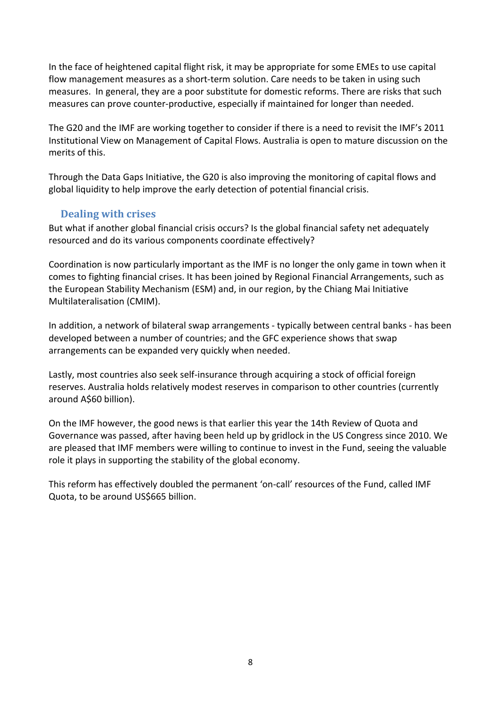In the face of heightened capital flight risk, it may be appropriate for some EMEs to use capital flow management measures as a short-term solution. Care needs to be taken in using such measures. In general, they are a poor substitute for domestic reforms. There are risks that such measures can prove counter-productive, especially if maintained for longer than needed.

The G20 and the IMF are working together to consider if there is a need to revisit the IMF's 2011 Institutional View on Management of Capital Flows. Australia is open to mature discussion on the merits of this.

Through the Data Gaps Initiative, the G20 is also improving the monitoring of capital flows and global liquidity to help improve the early detection of potential financial crisis.

### **Dealing with crises**

But what if another global financial crisis occurs? Is the global financial safety net adequately resourced and do its various components coordinate effectively?

Coordination is now particularly important as the IMF is no longer the only game in town when it comes to fighting financial crises. It has been joined by Regional Financial Arrangements, such as the European Stability Mechanism (ESM) and, in our region, by the Chiang Mai Initiative Multilateralisation (CMIM).

In addition, a network of bilateral swap arrangements - typically between central banks - has been developed between a number of countries; and the GFC experience shows that swap arrangements can be expanded very quickly when needed.

Lastly, most countries also seek self-insurance through acquiring a stock of official foreign reserves. Australia holds relatively modest reserves in comparison to other countries (currently around A\$60 billion).

On the IMF however, the good news is that earlier this year the 14th Review of Quota and Governance was passed, after having been held up by gridlock in the US Congress since 2010. We are pleased that IMF members were willing to continue to invest in the Fund, seeing the valuable role it plays in supporting the stability of the global economy.

This reform has effectively doubled the permanent 'on-call' resources of the Fund, called IMF Quota, to be around US\$665 billion.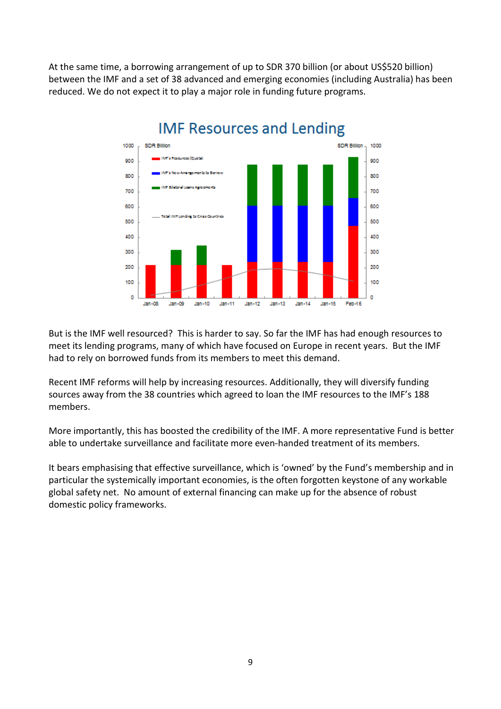At the same time, a borrowing arrangement of up to SDR 370 billion (or about US\$520 billion) between the IMF and a set of 38 advanced and emerging economies (including Australia) has been reduced. We do not expect it to play a major role in funding future programs.



But is the IMF well resourced? This is harder to say. So far the IMF has had enough resources to meet its lending programs, many of which have focused on Europe in recent years. But the IMF had to rely on borrowed funds from its members to meet this demand.

Recent IMF reforms will help by increasing resources. Additionally, they will diversify funding sources away from the 38 countries which agreed to loan the IMF resources to the IMF's 188 members.

More importantly, this has boosted the credibility of the IMF. A more representative Fund is better able to undertake surveillance and facilitate more even-handed treatment of its members.

It bears emphasising that effective surveillance, which is 'owned' by the Fund's membership and in particular the systemically important economies, is the often forgotten keystone of any workable global safety net. No amount of external financing can make up for the absence of robust domestic policy frameworks.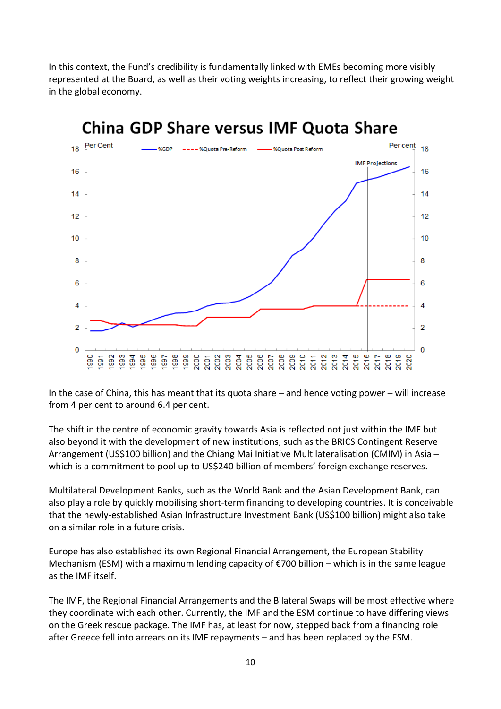In this context, the Fund's credibility is fundamentally linked with EMEs becoming more visibly represented at the Board, as well as their voting weights increasing, to reflect their growing weight in the global economy.



China GDP Share versus IMF Quota Share

In the case of China, this has meant that its quota share – and hence voting power – will increase from 4 per cent to around 6.4 per cent.

The shift in the centre of economic gravity towards Asia is reflected not just within the IMF but also beyond it with the development of new institutions, such as the BRICS Contingent Reserve Arrangement (US\$100 billion) and the Chiang Mai Initiative Multilateralisation (CMIM) in Asia – which is a commitment to pool up to US\$240 billion of members' foreign exchange reserves.

Multilateral Development Banks, such as the World Bank and the Asian Development Bank, can also play a role by quickly mobilising short-term financing to developing countries. It is conceivable that the newly-established Asian Infrastructure Investment Bank (US\$100 billion) might also take on a similar role in a future crisis.

Europe has also established its own Regional Financial Arrangement, the European Stability Mechanism (ESM) with a maximum lending capacity of €700 billion – which is in the same league as the IMF itself.

The IMF, the Regional Financial Arrangements and the Bilateral Swaps will be most effective where they coordinate with each other. Currently, the IMF and the ESM continue to have differing views on the Greek rescue package. The IMF has, at least for now, stepped back from a financing role after Greece fell into arrears on its IMF repayments – and has been replaced by the ESM.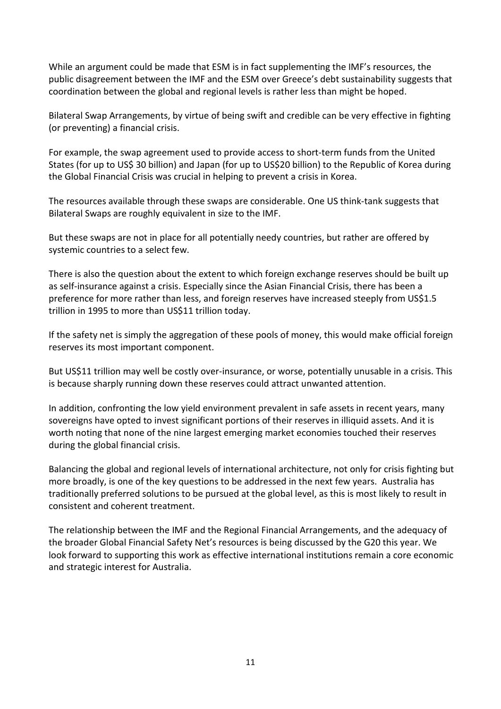While an argument could be made that ESM is in fact supplementing the IMF's resources, the public disagreement between the IMF and the ESM over Greece's debt sustainability suggests that coordination between the global and regional levels is rather less than might be hoped.

Bilateral Swap Arrangements, by virtue of being swift and credible can be very effective in fighting (or preventing) a financial crisis.

For example, the swap agreement used to provide access to short-term funds from the United States (for up to US\$ 30 billion) and Japan (for up to US\$20 billion) to the Republic of Korea during the Global Financial Crisis was crucial in helping to prevent a crisis in Korea.

The resources available through these swaps are considerable. One US think-tank suggests that Bilateral Swaps are roughly equivalent in size to the IMF.

But these swaps are not in place for all potentially needy countries, but rather are offered by systemic countries to a select few.

There is also the question about the extent to which foreign exchange reserves should be built up as self-insurance against a crisis. Especially since the Asian Financial Crisis, there has been a preference for more rather than less, and foreign reserves have increased steeply from US\$1.5 trillion in 1995 to more than US\$11 trillion today.

If the safety net is simply the aggregation of these pools of money, this would make official foreign reserves its most important component.

But US\$11 trillion may well be costly over-insurance, or worse, potentially unusable in a crisis. This is because sharply running down these reserves could attract unwanted attention.

In addition, confronting the low yield environment prevalent in safe assets in recent years, many sovereigns have opted to invest significant portions of their reserves in illiquid assets. And it is worth noting that none of the nine largest emerging market economies touched their reserves during the global financial crisis.

Balancing the global and regional levels of international architecture, not only for crisis fighting but more broadly, is one of the key questions to be addressed in the next few years. Australia has traditionally preferred solutions to be pursued at the global level, as this is most likely to result in consistent and coherent treatment.

The relationship between the IMF and the Regional Financial Arrangements, and the adequacy of the broader Global Financial Safety Net's resources is being discussed by the G20 this year. We look forward to supporting this work as effective international institutions remain a core economic and strategic interest for Australia.